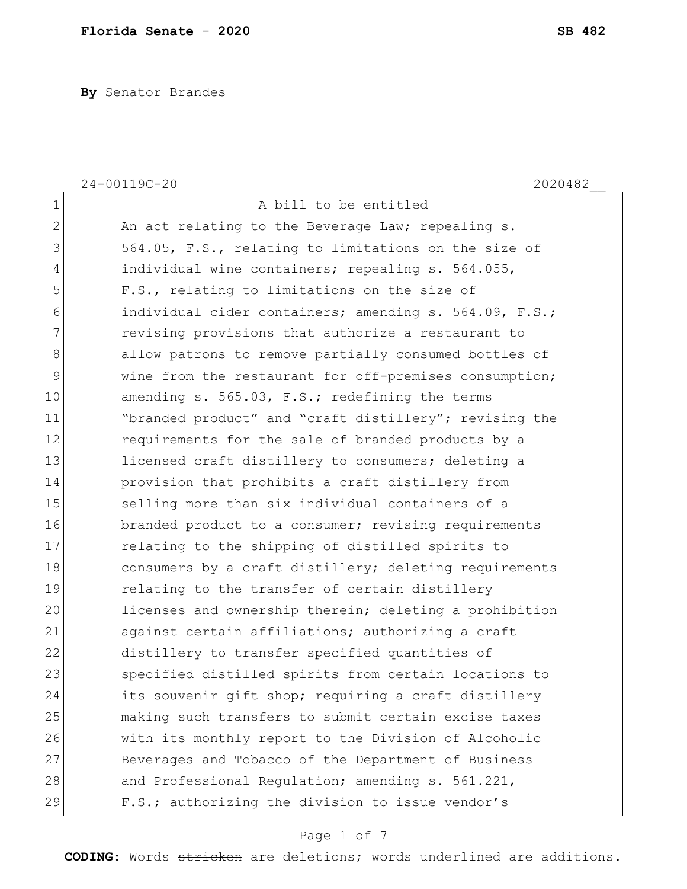**By** Senator Brandes

|                | 24-00119C-20<br>2020482                                |
|----------------|--------------------------------------------------------|
| $\mathbf 1$    | A bill to be entitled                                  |
| $\overline{2}$ | An act relating to the Beverage Law; repealing s.      |
| 3              | 564.05, F.S., relating to limitations on the size of   |
| 4              | individual wine containers; repealing s. 564.055,      |
| 5              | F.S., relating to limitations on the size of           |
| 6              | individual cider containers; amending s. 564.09, F.S.; |
| 7              | revising provisions that authorize a restaurant to     |
| 8              | allow patrons to remove partially consumed bottles of  |
| 9              | wine from the restaurant for off-premises consumption; |
| 10             | amending s. 565.03, F.S.; redefining the terms         |
| 11             | "branded product" and "craft distillery"; revising the |
| 12             | requirements for the sale of branded products by a     |
| 13             | licensed craft distillery to consumers; deleting a     |
| 14             | provision that prohibits a craft distillery from       |
| 15             | selling more than six individual containers of a       |
| 16             | branded product to a consumer; revising requirements   |
| 17             | relating to the shipping of distilled spirits to       |
| 18             | consumers by a craft distillery; deleting requirements |
| 19             | relating to the transfer of certain distillery         |
| 20             | licenses and ownership therein; deleting a prohibition |
| 21             | against certain affiliations; authorizing a craft      |
| 22             | distillery to transfer specified quantities of         |
| 23             | specified distilled spirits from certain locations to  |
| 24             | its souvenir gift shop; requiring a craft distillery   |
| 25             | making such transfers to submit certain excise taxes   |
| 26             | with its monthly report to the Division of Alcoholic   |
| 27             | Beverages and Tobacco of the Department of Business    |
| 28             | and Professional Regulation; amending s. 561.221,      |
| 29             | F.S.; authorizing the division to issue vendor's       |

Page 1 of 7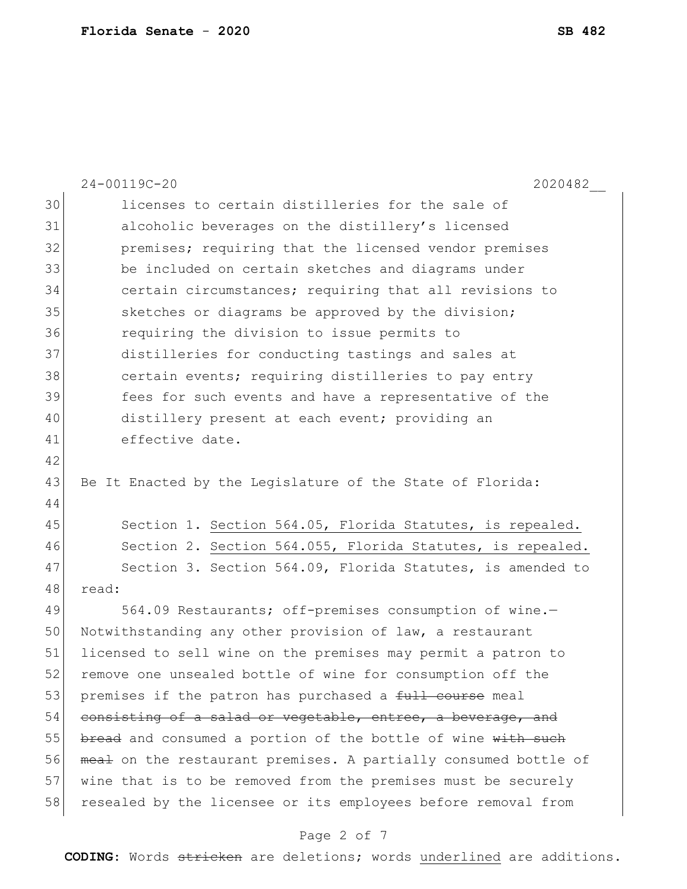|    | 24-00119C-20<br>2020482                                         |
|----|-----------------------------------------------------------------|
| 30 | licenses to certain distilleries for the sale of                |
| 31 | alcoholic beverages on the distillery's licensed                |
| 32 | premises; requiring that the licensed vendor premises           |
| 33 | be included on certain sketches and diagrams under              |
| 34 | certain circumstances; requiring that all revisions to          |
| 35 | sketches or diagrams be approved by the division;               |
| 36 | requiring the division to issue permits to                      |
| 37 | distilleries for conducting tastings and sales at               |
| 38 | certain events; requiring distilleries to pay entry             |
| 39 | fees for such events and have a representative of the           |
| 40 | distillery present at each event; providing an                  |
| 41 | effective date.                                                 |
| 42 |                                                                 |
| 43 | Be It Enacted by the Legislature of the State of Florida:       |
| 44 |                                                                 |
| 45 | Section 1. Section 564.05, Florida Statutes, is repealed.       |
| 46 | Section 2. Section 564.055, Florida Statutes, is repealed.      |
| 47 | Section 3. Section 564.09, Florida Statutes, is amended to      |
| 48 | read:                                                           |
| 49 | 564.09 Restaurants; off-premises consumption of wine.-          |
| 50 | Notwithstanding any other provision of law, a restaurant        |
| 51 | licensed to sell wine on the premises may permit a patron to    |
| 52 | remove one unsealed bottle of wine for consumption off the      |
| 53 | premises if the patron has purchased a full course meal         |
| 54 | consisting of a salad or vegetable, entree, a beverage, and     |
| 55 | bread and consumed a portion of the bottle of wine with such    |
| 56 | meal on the restaurant premises. A partially consumed bottle of |
| 57 | wine that is to be removed from the premises must be securely   |
| 58 | resealed by the licensee or its employees before removal from   |

# Page 2 of 7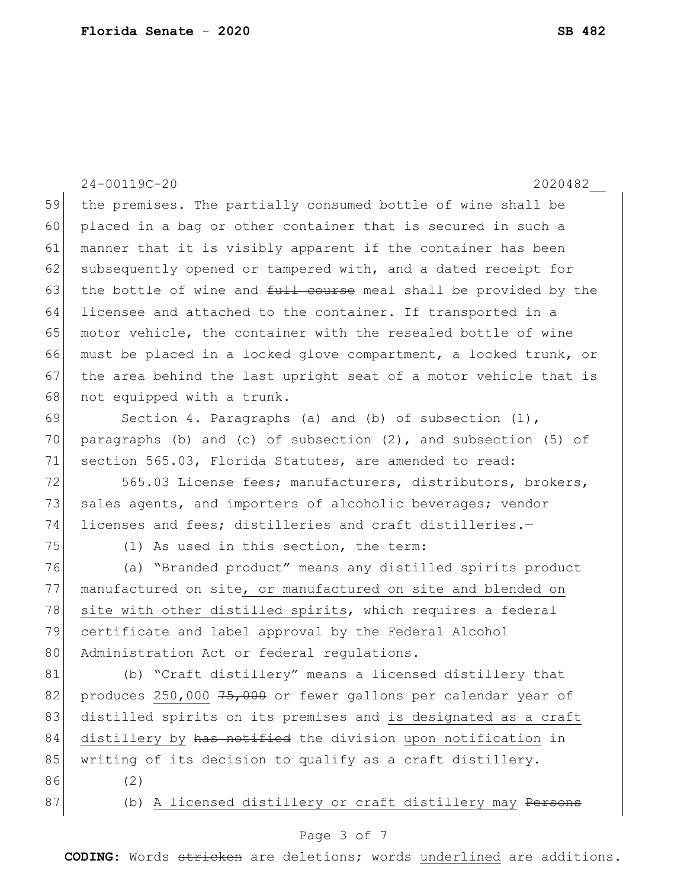24-00119C-20 2020482\_\_ 59 the premises. The partially consumed bottle of wine shall be 60 placed in a bag or other container that is secured in such a 61 manner that it is visibly apparent if the container has been 62 subsequently opened or tampered with, and a dated receipt for 63 the bottle of wine and  $f_{\text{t}}$  and  $f_{\text{t}}$  and  $f_{\text{t}}$  and  $f_{\text{t}}$  be provided by the 64 licensee and attached to the container. If transported in a 65 motor vehicle, the container with the resealed bottle of wine 66 must be placed in a locked glove compartment, a locked trunk, or 67 the area behind the last upright seat of a motor vehicle that is 68 not equipped with a trunk. 69 Section 4. Paragraphs (a) and (b) of subsection (1), 70 paragraphs (b) and (c) of subsection  $(2)$ , and subsection  $(5)$  of 71 section 565.03, Florida Statutes, are amended to read: 72 565.03 License fees; manufacturers, distributors, brokers, 73 sales agents, and importers of alcoholic beverages; vendor 74 licenses and fees; distilleries and craft distilleries.-75 (1) As used in this section, the term: 76 (a) "Branded product" means any distilled spirits product 77 manufactured on site, or manufactured on site and blended on 78 site with other distilled spirits, which requires a federal 79 certificate and label approval by the Federal Alcohol 80 Administration Act or federal regulations. 81 (b) "Craft distillery" means a licensed distillery that 82 produces 250,000  $75,000$  or fewer gallons per calendar year of 83 distilled spirits on its premises and is designated as a craft 84 distillery by has notified the division upon notification in 85 writing of its decision to qualify as a craft distillery. 86 (2) 87 (b) A licensed distillery or craft distillery may <del>Persons</del>

### Page 3 of 7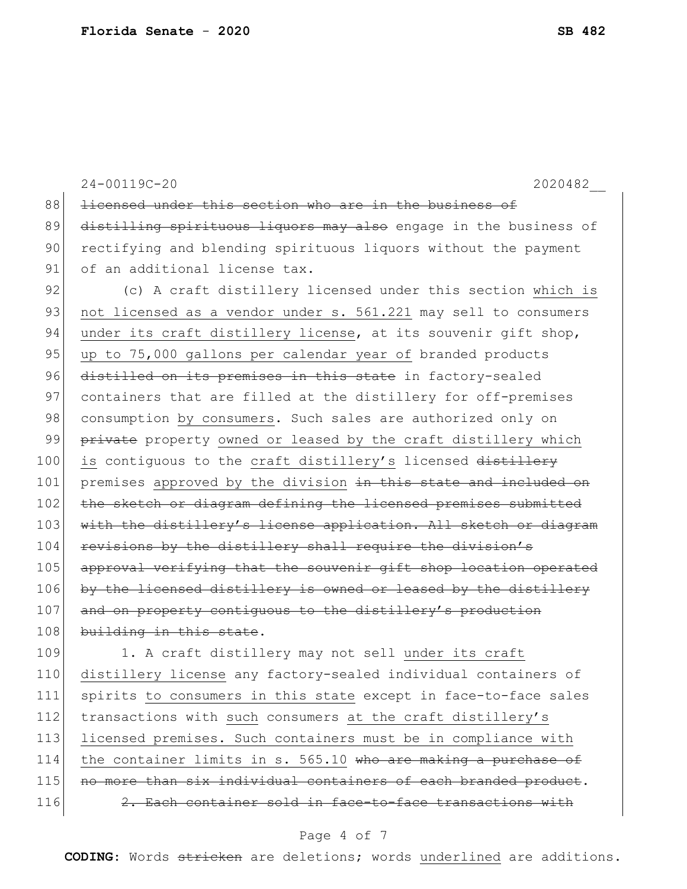|     | 24-00119C-20<br>2020482                                          |
|-----|------------------------------------------------------------------|
| 88  | licensed under this section who are in the business of           |
| 89  | distilling spirituous liquors may also engage in the business of |
| 90  | rectifying and blending spirituous liquors without the payment   |
| 91  | of an additional license tax.                                    |
| 92  | (c) A craft distillery licensed under this section which is      |
| 93  | not licensed as a vendor under s. 561.221 may sell to consumers  |
| 94  | under its craft distillery license, at its souvenir gift shop,   |
| 95  | up to 75,000 gallons per calendar year of branded products       |
| 96  | distilled on its premises in this state in factory-sealed        |
| 97  | containers that are filled at the distillery for off-premises    |
| 98  | consumption by consumers. Such sales are authorized only on      |
| 99  | private property owned or leased by the craft distillery which   |
| 100 | is contiquous to the craft distillery's licensed distillery      |
| 101 | premises approved by the division in this state and included on  |
| 102 | the sketch or diagram defining the licensed premises submitted   |
| 103 | with the distillery's license application. All sketch or diagram |
| 104 | revisions by the distillery shall require the division's         |
| 105 | approval verifying that the souvenir gift shop location operated |
| 106 | by the licensed distillery is owned or leased by the distillery  |
| 107 | and on property contiguous to the distillery's production        |
| 108 | building in this state.                                          |
| 109 | 1. A craft distillery may not sell under its craft               |
| 110 | distillery license any factory-sealed individual containers of   |
| 111 | spirits to consumers in this state except in face-to-face sales  |
| 112 | transactions with such consumers at the craft distillery's       |
| 113 | licensed premises. Such containers must be in compliance with    |
| 114 | the container limits in s. 565.10 who are making a purchase of   |
| 115 | no more than six individual containers of each branded product.  |

## Page 4 of 7

116  $\vert$  2. Each container sold in face-to-face transactions with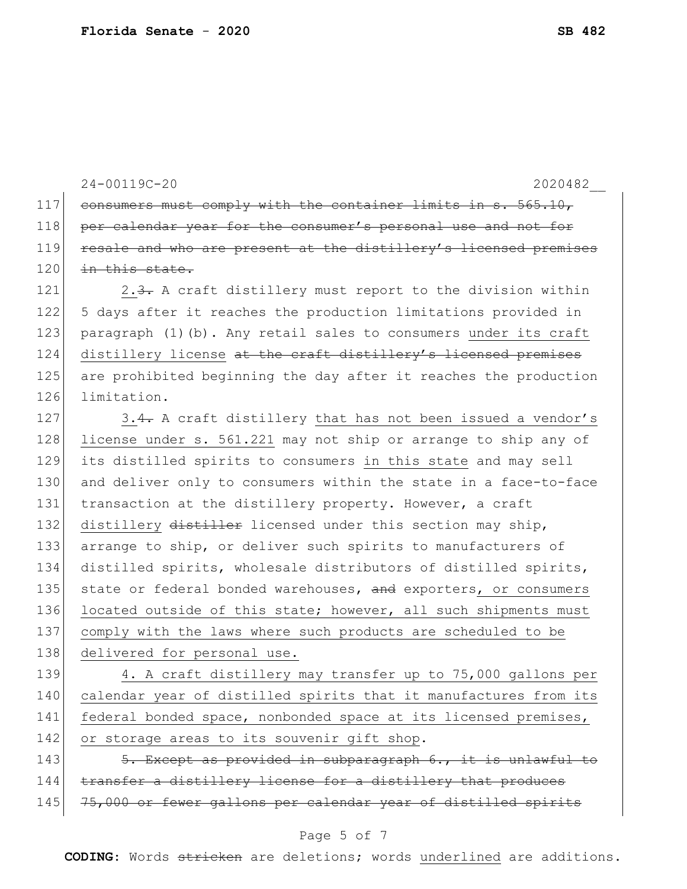24-00119C-20 2020482\_\_

117 consumers must comply with the container limits in  $s. 565.10,$ 118 per calendar year for the consumer's personal use and not for 119 resale and who are present at the distillery's licensed premises 120 in this state.

121 2.3. A craft distillery must report to the division within 5 days after it reaches the production limitations provided in paragraph (1)(b). Any retail sales to consumers under its craft 124 distillery license at the craft distillery's licensed premises are prohibited beginning the day after it reaches the production limitation.

127 3.4. A craft distillery that has not been issued a vendor's 128 license under s. 561.221 may not ship or arrange to ship any of 129 its distilled spirits to consumers in this state and may sell 130 and deliver only to consumers within the state in a face-to-face 131 transaction at the distillery property. However, a craft 132 distillery distiller licensed under this section may ship, 133 arrange to ship, or deliver such spirits to manufacturers of 134 distilled spirits, wholesale distributors of distilled spirits, 135 state or federal bonded warehouses, and exporters, or consumers 136 located outside of this state; however, all such shipments must 137 comply with the laws where such products are scheduled to be 138 delivered for personal use.

139 4. A craft distillery may transfer up to 75,000 gallons per 140 calendar year of distilled spirits that it manufactures from its 141 federal bonded space, nonbonded space at its licensed premises, 142 or storage areas to its souvenir gift shop.

143  $\sim$  5. Except as provided in subparagraph 6., it is unlawful to 144 transfer a distillery license for a distillery that produces 145 75,000 or fewer gallons per calendar year of distilled spirits

#### Page 5 of 7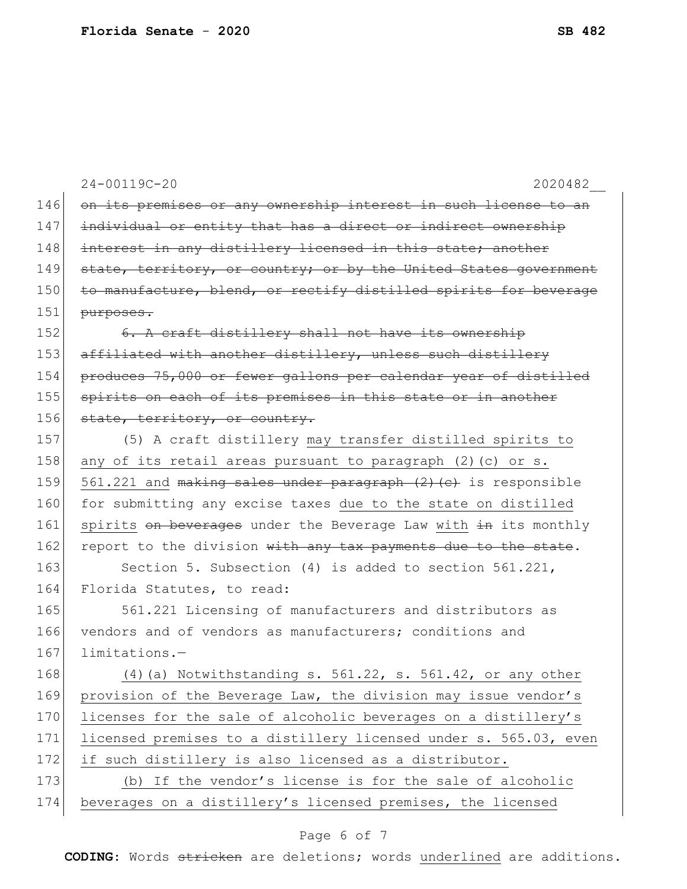|     | 24-00119C-20<br>2020482                                          |
|-----|------------------------------------------------------------------|
| 146 | on its premises or any ownership interest in such license to an  |
| 147 | individual or entity that has a direct or indirect ownership     |
| 148 | interest in any distillery licensed in this state; another       |
| 149 | state, territory, or country; or by the United States government |
| 150 | to manufacture, blend, or rectify distilled spirits for beverage |
| 151 | purposes.                                                        |
| 152 | 6. A craft distillery shall not have its ownership               |
| 153 | affiliated with another distillery, unless such distillery       |
| 154 | produces 75,000 or fewer gallons per calendar year of distilled  |
| 155 | spirits on each of its premises in this state or in another      |
| 156 | state, territory, or country.                                    |
| 157 | (5) A craft distillery may transfer distilled spirits to         |
| 158 | any of its retail areas pursuant to paragraph (2) (c) or s.      |
| 159 | 561.221 and making sales under paragraph (2) (c) is responsible  |
| 160 | for submitting any excise taxes due to the state on distilled    |
| 161 | spirits on beverages under the Beverage Law with in its monthly  |
| 162 | report to the division with any tax payments due to the state.   |
| 163 | Section 5. Subsection (4) is added to section $561.221$ ,        |
| 164 | Florida Statutes, to read:                                       |
| 165 | 561.221 Licensing of manufacturers and distributors as           |
| 166 | vendors and of vendors as manufacturers; conditions and          |
| 167 | limitations.-                                                    |
| 168 | $(4)$ (a) Notwithstanding s. 561.22, s. 561.42, or any other     |
| 169 | provision of the Beverage Law, the division may issue vendor's   |
| 170 | licenses for the sale of alcoholic beverages on a distillery's   |
| 171 | licensed premises to a distillery licensed under s. 565.03, even |
| 172 | if such distillery is also licensed as a distributor.            |
| 173 | (b) If the vendor's license is for the sale of alcoholic         |
| 174 | beverages on a distillery's licensed premises, the licensed      |

# Page 6 of 7